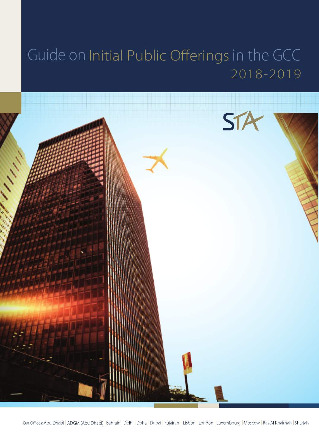# Guide on Initial Public Offerings in the GCC 2018-2019

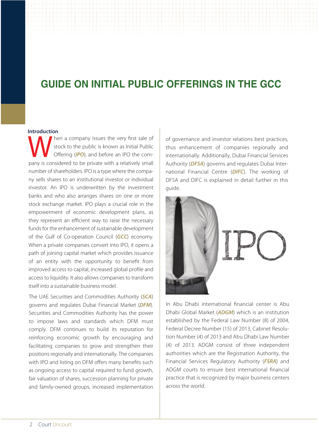## **GUIDE ON INITIAL PUBLIC OFFERINGS IN THE GCC**

#### **Introduction**

pany is considered to be private with a relatively small number of shareholders. IPO is a type where the company sells shares to an institutional investor or individual investor. An IPO is underwritten by the investment banks and who also arranges shares on one or more stock exchange market. IPO plays a crucial role in the empowerment of economic development plans, as they represent an efficient way to raise the necessary funds for the enhancement of sustainable development of the Gulf of Co-operation Council (*GCC*) economy. When a private companies convert into IPO, it opens a path of joining capital market which provides issuance of an entity with the opportunity to benefit from improved access to capital, increased global profile and access to liquidity. It also allows companies to transform itself into a sustainable business model. hen a company issues the very first sale of stock to the public is known as Initial Public Offering (*IPO*), and before an IPO the com-

The UAE Securities and Commodities Authority (*SCA*) governs and regulates Dubai Financial Market (*DFM*). Securities and Commodities Authority has the power to impose laws and standards which DFM must comply. DFM continues to build its reputation for reinforcing economic growth by encouraging and facilitating companies to grow and strengthen their positions regionally and internationally. The companies with IPO and listing on DFM offers many benefits such as ongoing access to capital required to fund growth, fair valuation of shares, succession planning for private and family-owned groups, increased implementation

of governance and investor relations best practices, thus enhancement of companies regionally and internationally. Additionally, Dubai Financial Services Authority (*DFSA*) governs and regulates Dubai International Financial Centre (*DIFC*). The working of DFSA and DIFC is explained in detail further in this guide.



In Abu Dhabi international financial center is Abu Dhabi Global Market (*ADGM*) which is an institution established by the Federal Law Number (8) of 2004, Federal Decree Number (15) of 2013, Cabinet Resolution Number (4) of 2013 and Abu Dhabi Law Number (4) of 2013. ADGM consist of three independent authorities which are the Registration Authority, the Financial Services Regulatory Authority (*FSRA*) and ADGM courts to ensure best international financial practice that is recognized by major business centers across the world.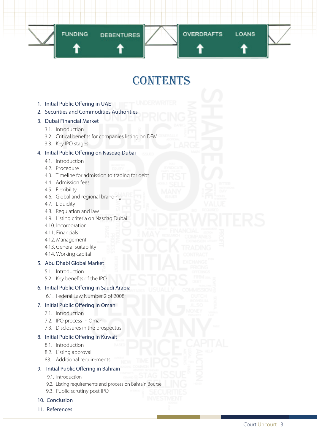

## contents

- 1. Initial Public Offering in UAE
- 2. Securities and Commodities Authorities

## 3. Dubai Financial Market

- 3.1. Introduction
- 3.2. Critical benefits for companies listing on DFM
- 3.3. Key IPO stages

## 4. Initial Public Offering on Nasdaq Dubai

- 4.1. Introduction
- 4.2. Procedure
- 4.3. Timeline for admission to trading for debt
- 4.4. Admission fees
- 4.5. Flexibility
- 4.6. Global and regional branding
- 4.7. Liquidity
- 4.8. Regulation and law
- 4.9. Listing criteria on Nasdaq Dubai
- 4.10. Incorporation
- 4.11. Financials
- 4.12. Management
- 4.13. General suitability
- 4.14. Working capital

## 5. Abu Dhabi Global Market

- 5.1. Introduction
- 5.2. Key benefits of the IPO

#### 6. Initial Public Offering in Saudi Arabia

6.1. Federal Law Number 2 of 2008;

## 7. Initial Public Offering in Oman

- 7.1. Introduction
- 7.2. IPO process in Oman
- 7.3. Disclosures in the prospectus

#### 8. Initial Public Offering in Kuwait

- 8.1. Introduction
- 8.2. Listing approval
- 83. Additional requirements

## 9. Initial Public Offering in Bahrain

- 9.1. Introduction
- 9.2. Listing requirements and process on Bahrain Bourse
- 9.3. Public scrutiny post IPO

#### 10. Conclusion

11. References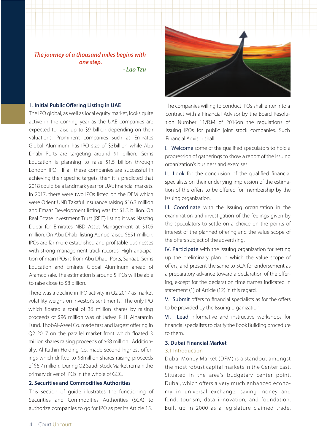*The journey of a thousand miles begins with one step.*

 *- Lao Tzu*

#### **1. Initial Public Offering Listing in UAE**

The IPO global, as well as local equity market, looks quite active in the coming year as the UAE companies are expected to raise up to \$9 billion depending on their valuations. Prominent companies such as Emirates Global Aluminum has IPO size of \$3billion while Abu Dhabi Ports are targeting around \$1 billion. Gems Education is planning to raise \$1.5 billion through London IPO. If all these companies are successful in achieving their specific targets, then it is predicted that 2018 could be a landmark year for UAE financial markets. In 2017, there were two IPOs listed on the DFM which were Orient UNB Takaful Insurance raising \$16.3 million and Emaar Development listing was for \$1.3 billion. On Real Estate Investment Trust (REIT) listing it was Nasdaq Dubai for Emirates NBD Asset Management at \$105 million. On Abu Dhabi listing Adnoc raised \$851 million. IPOs are far more established and profitable businesses with strong management track records. High anticipation of main IPOs is from Abu Dhabi Ports, Sanaat, Gems Education and Emirate Global Aluminum ahead of Aramco sale. The estimation is around 5 IPOs will be able to raise close to \$8 billion.

There was a decline in IPO activity in Q2 2017 as market volatility weighs on investor's sentiments. The only IPO which floated a total of 36 million shares by raising proceeds of \$96 million was of Jadwa REIT Alharamin Fund. ThobAl-Aseel Co. made first and largest offering in Q2 2017 on the parallel market front which floated 3 million shares raising proceeds of \$68 million. Additionally, Al Kathiri Holding Co. made second highest offerings which drifted to \$8million shares raising proceeds of \$6.7 million. During Q2 Saudi Stock Market remain the primary driver of IPOs in the whole of GCC.

## **2. Securities and Commodities Authorities**

This section of guide illustrates the functioning of Securities and Commodities Authorities (SCA) to authorize companies to go for IPO as per its Article 15.



The companies willing to conduct IPOs shall enter into a contract with a Financial Advisor by the Board Resolution Number 11/R.M of 2016on the regulations of issuing IPOs for public joint stock companies. Such Financial Advisor shall:

I. Welcome some of the qualified speculators to hold a progression of gatherings to show a report of the Issuing organization's business and exercises.

II. Look for the conclusion of the qualified financial specialists on their underlying impression of the estimation of the offers to be offered for membership by the Issuing organization.

III. Coordinate with the Issuing organization in the examination and investigation of the feelings given by the speculators to settle on a choice on the points of interest of the planned offering and the value scope of the offers subject of the advertising.

IV. Participate with the Issuing organization for setting up the preliminary plan in which the value scope of offers, and present the same to SCA for endorsement as a preparatory advance toward a declaration of the offering, except for the declaration time frames indicated in statement (1) of Article (12) in this regard.

V. Submit offers to financial specialists as for the offers to be provided by the Issuing organization.

VI. Lead informative and instructive workshops for financial specialists to clarify the Book Building procedure to them.

#### **3. Dubai Financial Market**

#### 3.1 Introduction

Dubai Money Market (DFM) is a standout amongst the most robust capital markets in the Center East. Situated in the area's budgetary center point, Dubai, which offers a very much enhanced economy in universal exchange, saving money and fund, tourism, data innovation, and foundation. Built up in 2000 as a legislature claimed trade,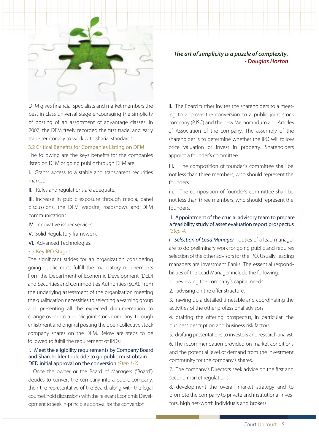

DFM gives financial specialists and market members the best in class universal stage encouraging the simplicity of posting of an assortment of advantage classes. In 2007, the DFM freely recorded the first trade, and early trade territorially to work with sharia' standards.

#### 3.2 Critical Benefits for Companies Listing on DFM

The following are the keys benefits for the companies listed on DFM or going public through DFM are:

I. Grants access to a stable and transparent securities market.

II. Rules and regulations are adequate.

III. Increase in public exposure through media, panel discussions, the DFM website, roadshows and DFM communications.

- IV. Innovative issuer services.
- V. Solid Regulatory framework.
- 

#### 3.3 Key IPO Stages

The significant strides for an organization considering going public must fulfill the mandatory requirements from the Department of Economic Development (DED) and Securities and Commodities Authorities (SCA). From the underlying assessment of the organization meeting the qualification necessities to selecting a warning group and presenting all the expected documentation to change over into a public joint stock company, through enlistment and original posting the open collective stock company shares on the DFM. Below are steps to be followed to fulfill the requirement of IPOs:

#### I. Meet the eligibility requirements by Company Board and Shareholder to decide to go public must obtain DED initial approval on the conversion *(Step 1-3)*:

i. Once the owner or the Board of Managers ("Board") decides to convert the company into a public company, then the representative of the Board, along with the legal counsel, hold discussions with the relevant Economic Development to seek in-principle approval for the conversion.

*The art of simplicity is a puzzle of complexity. - Douglas Horton*

ii. The Board further invites the shareholders to a meeting to approve the conversion to a public joint stock company (PJSC) and the new Memorandum and Articles of Association of the company. The assembly of the shareholder is to determine whether the IPO will follow price valuation or invest in property. Shareholders appoint a founder's committee.

iii. The composition of founder's committee shall be not less than three members, who should represent the founders.

iii. The composition of founder's committee shall be not less than three members, who should represent the founders.

II. Appointment of the crucial advisory team to prepare a feasibility study of asset evaluation report prospectus *(Step-4)*:

VI. Advanced Technologies. i. *Selection of Lead Manager*- duties of a lead manager are to do preliminary work for going public and requires selection of the other advisors for the IPO. Usually, leading managers are Investment Banks. The essential responsibilities of the Lead Manager include the following:

1. reviewing the company's capital needs.

2. advising on the offer structure.

3. rawing up a detailed timetable and coordinating the activities of the other professional advisors.

4. drafting the offering prospectus, in particular, the business description and business risk factors.

5. drafting presentations to investors and research analyst.

6. The recommendation provided on market conditions and the potential level of demand from the investment community for the company's shares.

7. The company's Directors seek advice on the first and second market regulations.

8. development the overall market strategy and to promote the company to private and institutional investors, high net-worth individuals and brokers.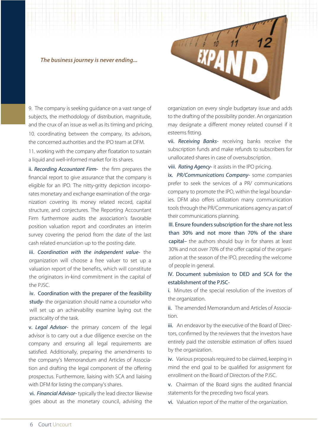### *The business journey is never ending...*

9. The company is seeking guidance on a vast range of subjects, the methodology of distribution, magnitude, and the crux of an issue as well as its timing and pricing. 10. coordinating between the company, its advisors, the concerned authorities and the IPO team at DFM.

11. working with the company after floatation to sustain a liquid and well-informed market for its shares.

ii. *Recording Accountant Firm-* the firm prepares the financial report to give assurance that the company is eligible for an IPO. The nitty-gritty depiction incorporates monetary and exchange examination of the organization covering its money related record, capital structure, and conjectures. The Reporting Accountant Firm furthermore audits the association's favorable position valuation report and coordinates an interim survey covering the period from the date of the last cash related enunciation up to the posting date.

iii. *Coordination with the independent value-* the organization will choose a free valuer to set up a valuation report of the benefits, which will constitute the originators in-kind commitment in the capital of the PJSC.

iv. Coordination with the preparer of the feasibility study- the organization should name a counselor who will set up an achievability examine laying out the practicality of the task.

v. *Legal Advisor-* the primary concern of the legal advisor is to carry out a due diligence exercise on the company and ensuring all legal requirements are satisfied. Additionally, preparing the amendments to the company's Memorandum and Articles of Association and drafting the legal component of the offering prospectus. Furthermore, liaising with SCA and liaising with DFM for listing the company's shares.

vi. *Financial Advisor-* typically the lead director likewise goes about as the monetary council, advising the

organization on every single budgetary issue and adds to the drafting of the possibility ponder. An organization may designate a different money related counsel if it esteems fitting.

vii. *Receiving Banks-* receiving banks receive the subscription funds and make refunds to subscribers for unallocated shares in case of oversubscription.

viii. *Rating Agency*- it assists in the IPO pricing.

ix. *PR/Communications Company-* some companies prefer to seek the services of a PR/ communications company to promote the IPO, within the legal boundaries. DFM also offers utilization many communication tools through the PR/Communications agency as part of their communications planning.

III. Ensure founders subscription for the share not less than 30% and not more than 70% of the share capital– the authors should buy in for shares at least 30% and not over 70% of the offer capital of the organization at the season of the IPO, preceding the welcome of people in general.

IV. Document submission to DED and SCA for the establishment of the PJSC-

i. Minutes of the special resolution of the investors of the organization.

ii. The amended Memorandum and Articles of Association.

iii. An endeavor by the executive of the Board of Directors, confirmed by the reviewers that the investors have entirely paid the ostensible estimation of offers issued by the organization.

iv. Various proposals required to be claimed, keeping in mind the end goal to be qualified for assignment for enrollment on the Board of Directors of the PJSC.

v. Chairman of the Board signs the audited financial statements for the preceding two fiscal years.

vi. Valuation report of the matter of the organization.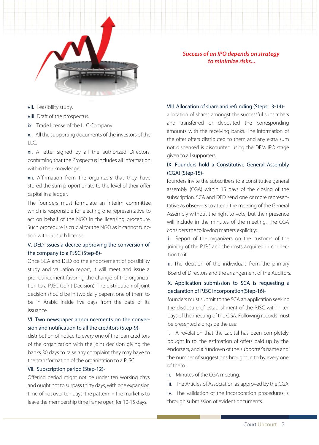

*Success of an IPO depends on strategy to minimize risks...*

vii. Feasibility study.

viii. Draft of the prospectus.

ix. Trade license of the LLC Company.

x. All the supporting documents of the investors of the LLC.

xi. A letter signed by all the authorized Directors, confirming that the Prospectus includes all information within their knowledge.

xii. Affirmation from the organizers that they have stored the sum proportionate to the level of their offer capital in a ledger.

The founders must formulate an interim committee which is responsible for electing one representative to act on behalf of the NGO in the licensing procedure. Such procedure is crucial for the NGO as it cannot function without such license.<br>i. Report of the organizers on the customs of the

## V. DED issues a decree approving the conversion of the company to a PJSC (Step-8)-

Once SCA and DED do the endorsement of possibility study and valuation report, it will meet and issue a pronouncement favoring the change of the organization to a PJSC (Joint Decision). The distribution of joint decision should be in two daily papers, one of them to be in Arabic inside five days from the date of its issuance.

## VI. Two newspaper announcements on the conversion and notification to all the creditors (Step-9)-

distribution of notice to every one of the loan creditors of the organization with the joint decision giving the banks 30 days to raise any complaint they may have to the transformation of the organization to a PJSC.

### VII. Subscription period (Step-12)-

Offering period might not be under ten working days and ought not to surpass thirty days, with one expansion time of not over ten days, the pattern in the market is to leave the membership time frame open for 10-15 days.

#### VIII. Allocation of share and refunding (Steps 13-14)-

allocation of shares amongst the successful subscribers and transferred or deposited the corresponding amounts with the receiving banks. The information of the offer offers distributed to them and any extra sum not dispensed is discounted using the DFM IPO stage given to all supporters.

## IX. Founders hold a Constitutive General Assembly (CGA) (Step-15)-

founders invite the subscribers to a constitutive general assembly (CGA) within 15 days of the closing of the subscription. SCA and DED send one or more representative as observers to attend the meeting of the General Assembly without the right to vote, but their presence will include in the minutes of the meeting. The CGA considers the following matters explicitly:

joining of the PJSC and the costs acquired in connection to it;

ii. The decision of the individuals from the primary Board of Directors and the arrangement of the Auditors.

## X. Application submission to SCA is requesting a declaration of PJSC incorporation(Step-16)-

founders must submit to the SCA an application seeking the disclosure of establishment of the PJSC within ten days of the meeting of the CGA. Following records must be presented alongside the use:

i. A revelation that the capital has been completely bought in to, the estimation of offers paid up by the endorsers, and a rundown of the supporter's name and the number of suggestions brought in to by every one of them.

ii. Minutes of the CGA meeting.

iii. The Articles of Association as approved by the CGA.

iv. The validation of the incorporation procedures is through submission of evident documents.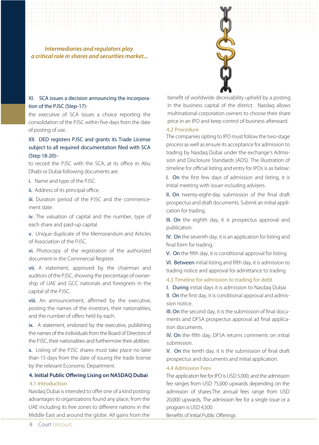*Intermediaries and regulators play a critical role in shares and securities market...*

## XI. SCA issues a decision announcing the incorporation of the PJSC (Step-17)-

the executive of SCA issues a choice reporting the consolidation of the PJSC within five days from the date of posting of use.

## XII. DED registers PJSC and grants its Trade License subject to all required documentation filed with SCA (Step 18-20)–

to record the PJSC with the SCA, at its office in Abu Dhabi or Dubai following documents are:

i. Name and type of the PJSC.

ii. Address of its principal office.

iii. Duration period of the PJSC and the commencement date.

iv. The valuation of capital and the number, type of each share and paid-up capital.

v. Unique duplicate of the Memorandum and Articles of Association of the PJSC.

vi. Photocopy of the registration of the authorized document in the Commercial Register.

vii. A statement, approved by the chairman and auditors of the PJSC, showing the percentage of ownership of UAE and GCC nationals and foreigners in the capital of the PJSC.

viii. An announcement, affirmed by the executive, posting the names of the investors, their nationalities, and the number of offers held by each.

ix. A statement, endorsed by the executive, publishing the names of the individuals from the Board of Directors of the PJSC, their nationalities and furthermore their abilities

x. Listing of the PJSC shares must take place no later than 15 days from the date of issuing the trade license by the relevant Economic Department.

#### **4. Initial Public Offering Lising on NASDAQ Dubai**

#### 4.1 Introduction

Nasdaq Dubai is intended to offer one of a kind posting advantages to organizations found any place, from the UAE including its free zones to different nations in the Middle East and around the globe. All gains from the

benefit of worldwide deceivability upheld by a posting in the business capital of the district. Nasdaq allows multinational corporation owners to choose their share price in an IPO and keep control of business afterward.

## 4.2 Procedure

The companies opting to IPO must follow the two-stage process as well as ensure its acceptance for admission to trading by Nasdaq Dubai under the exchange's Admission and Disclosure Standards (ADS). The illustration of timeline for official listing and entry for IPOs is as below:

I. On the first few days of admission and listing, it is Initial meeting with issuer including advisers.

II. On twenty-eight-day submission of the final draft prospectus and draft documents. Submit an initial application for trading.

III. On the eighth day, it is prospectus approval and publication.

IV. On the seventh day, it is an application for listing and final form for trading.

V. On the fifth day, it is conditional approval for listing.

VI. Between initial listing and fifth day, it is admission to trading notice and approval for admittance to trading.

4.3 Timeline for admission to trading for debt

I. During initial days it is admission to Nasdaq Dubai.

II. On the first day, it is conditional approval and admission notice.

III. On the second day, it is the submission of final documents and DFSA prospectus approval ad final application documents.

IV. On the fifth day, DFSA returns comments on initial submission.

V. On the tenth day, it is the submission of final draft prospectus and documents and initial application.

## 4.4 Admission Fees

The application fee for IPO is USD 5,000, and the admission fee ranges from USD 75,000 upwards depending on the admission of shares.The annual fees range from USD 20,000 upwards. The admission fee for a single issue or a program is USD 4,500.

Benefits of Initial Public Offerings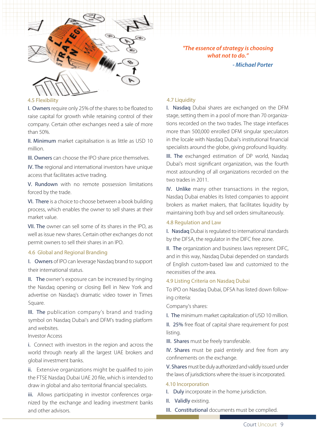

*"The essence of strategy is choosing what not to do." - Michael Porter*

#### 4.5 Flexibility

I. Owners require only 25% of the shares to be floated to raise capital for growth while retaining control of their company. Certain other exchanges need a sale of more than 50%.

II. Minimum market capitalisation is as little as USD 10 million.

III. Owners can choose the IPO share price themselves.

IV. The regional and international investors have unique access that facilitates active trading.

V. Rundown with no remote possession limitations forced by the trade.

VI. There is a choice to choose between a book building process, which enables the owner to sell shares at their market value.

VII. The owner can sell some of its shares in the IPO, as well as issue new shares. Certain other exchanges do not permit owners to sell their shares in an IPO.

#### 4.6 Global and Regional Branding

I. Owners of IPO can leverage Nasdaq brand to support their international status.

II. The owner's exposure can be increased by ringing the Nasdaq opening or closing Bell in New York and advertise on Nasdaq's dramatic video tower in Times Square.

III. The publication company's brand and trading symbol on Nasdaq Dubai's and DFM's trading platform and websites.

Investor Access

i. Connect with investors in the region and across the world through nearly all the largest UAE brokers and global investment banks.

ii. Extensive organizations might be qualified to join the FTSE Nasdaq Dubai UAE 20 file, which is intended to draw in global and also territorial financial specialists.

iii. Allows participating in investor conferences organized by the exchange and leading investment banks and other advisors.

#### 4.7 Liquidity

I. Nasdaq Dubai shares are exchanged on the DFM stage, setting them in a pool of more than 70 organizations recorded on the two trades. The stage interfaces more than 500,000 enrolled DFM singular speculators in the locale with Nasdaq Dubai's institutional financial specialists around the globe, giving profound liquidity.

III. The exchanged estimation of DP world, Nasdaq Dubai's most significant organization, was the fourth most astounding of all organizations recorded on the two trades in 2011.

IV. Unlike many other transactions in the region, Nasdaq Dubai enables its listed companies to appoint brokers as market makers, that facilitates liquidity by maintaining both buy and sell orders simultaneously.

#### 4.8 Regulation and Law

I. Nasdaq Dubai is regulated to international standards by the DFSA, the regulator in the DIFC free zone.

II. The organization and business laws represent DIFC, and in this way, Nasdaq Dubai depended on standards of English custom-based law and customized to the necessities of the area.

#### 4.9 Listing Criteria on Nasdaq Dubai

To IPO on Nasdaq Dubai, DFSA has listed down following criteria:

Company's shares:

I. The minimum market capitalization of USD 10 million.

II. 25% free float of capital share requirement for post listing.

III. Shares must be freely transferable.

IV. Shares must be paid entirely and free from any confinements on the exchange.

V. Shares must be duly authorized and validly issued under the laws of jurisdictions where the issuer is incorporated.

#### 4.10 Incorporation

- I. Duly incorporate in the home jurisdiction.
- II. Validly existing.
- III. Constitutional documents must be complied.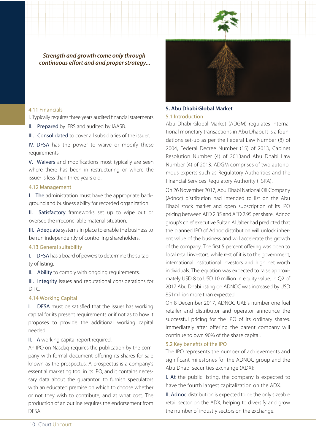

*Strength and growth come only through continuous effort and and proper strategy...* 

#### 4.11 Financials

I. Typically requires three years audited financial statements.

II. Prepared by IFRS and audited by IAASB.

III. Consolidated to cover all subsidiaries of the issuer.

IV. DFSA has the power to waive or modify these requirements.

V. Waivers and modifications most typically are seen where there has been in restructuring or where the issuer is less than three years old.

#### 4.12 Management

I. The administration must have the appropriate background and business ability for recorded organization.

II. Satisfactory frameworks set up to wipe out or oversee the irreconcilable material situation.

III. Adequate systems in place to enable the business to be run independently of controlling shareholders.

#### 4.13 General suitability

I. DFSA has a board of powers to determine the suitability of listing.

II. Ability to comply with ongoing requirements.

III. Integrity issues and reputational considerations for DIFC.

#### 4.14 Working Capital

I. DFSA must be satisfied that the issuer has working capital for its present requirements or if not as to how it proposes to provide the additional working capital needed.

II. A working capital report required.

An IPO on Nasdaq requires the publication by the company with formal document offering its shares for sale known as the prospectus. A prospectus is a company's essential marketing tool in its IPO, and it contains necessary data about the guarantor, to furnish speculators with an educated premise on which to choose whether or not they wish to contribute, and at what cost. The production of an outline requires the endorsement from DFSA.



#### 5.1 Introduction **5. Abu Dhabi Global Market**

Abu Dhabi Global Market (ADGM) regulates international monetary transactions in Abu Dhabi. It is a foundations set-up as per the Federal Law Number (8) of 2004, Federal Decree Number (15) of 2013, Cabinet Resolution Number (4) of 2013and Abu Dhabi Law Number (4) of 2013. ADGM comprises of two autonomous experts such as Regulatory Authorities and the Financial Services Regulatory Authority (FSRA).

On 26 November 2017, Abu Dhabi National Oil Company (Adnoc) distribution had intended to list on the Abu Dhabi stock market and open subscription of its IPO pricing between AED 2.35 and AED 2.95 per share. Adnoc group's chief executive Sultan Al Jaber had predicted that the planned IPO of Adnoc distribution will unlock inherent value of the business and will accelerate the growth of the company. The first 5 percent offering was open to local retail investors, while rest of it is to the government, international institutional investors and high net worth individuals. The equation was expected to raise approximately USD 8 to USD 10 million in equity value. In Q2 of 2017 Abu Dhabi listing on ADNOC was increased by USD 851million more than expected.

On 8 December 2017, ADNOC UAE's number one fuel retailer and distributor and operator announce the successful pricing for the IPO of its ordinary shares. Immediately after offering the parent company will continue to own 90% of the share capital.

#### 5.2 Key benefits of the IPO

The IPO represents the number of achievements and significant milestones for the ADNOC group and the Abu Dhabi securities exchange (ADX):

I. At the public listing, the company is expected to have the fourth largest capitalization on the ADX.

II. Adnoc distribution is expected to be the only sizeable retail sector on the ADX, helping to diversify and grow the number of industry sectors on the exchange.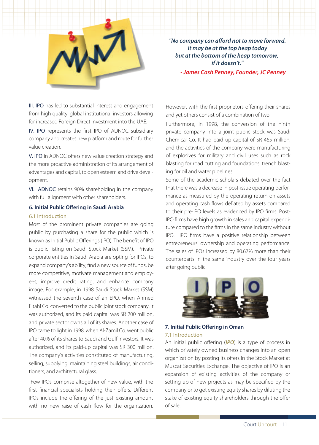

*"No company can afford not to move forward. It may be at the top heap today but at the bottom of the heap tomorrow, if it doesn't."*

 *- James Cash Penney, Founder, JC Penney*

III. IPO has led to substantial interest and engagement from high quality, global institutional investors allowing for increased Foreign Direct Investment into the UAE.

IV. IPO represents the first IPO of ADNOC subsidiary company and creates new platform and route for further value creation.

V. IPO in ADNOC offers new value creation strategy and the more proactive administration of its arrangement of advantages and capital, to open esteem and drive development.

VI. ADNOC retains 90% shareholding in the company with full alignment with other shareholders.

#### **6. Initial Public Offering in Saudi Arabia**

#### 6.1 Introduction

Most of the prominent private companies are going public by purchasing a share for the public which is known as Initial Public Offerings (IPO). The benefit of IPO is public listing on Saudi Stock Market (SSM). Private corporate entities in Saudi Arabia are opting for IPOs, to expand company's ability, find a new source of funds, be more competitive, motivate management and employees, improve credit rating, and enhance company image. For example, in 1998 Saudi Stock Market (SSM) witnessed the seventh case of an EPO, when Ahmed Fitahi Co. converted to the public joint stock company. It was authorized, and its paid capital was SR 200 million, and private sector owns all of its shares. Another case of IPO came to light in 1998, when Al-Zamil Co. went public after 40% of its shares to Saudi and Gulf investors. It was authorized, and its paid-up capital was SR 300 million. The company's activities constituted of manufacturing, selling, supplying, maintaining steel buildings, air conditioners, and architectural glass.

 Few IPOs comprise altogether of new value, with the first financial specialists holding their offers. Different IPOs include the offering of the just existing amount with no new raise of cash flow for the organization.

However, with the first proprietors offering their shares and yet others consist of a combination of two.

Furthermore, in 1998, the conversion of the ninth private company into a joint public stock was Saudi Chemical Co. It had paid up capital of SR 465 million, and the activities of the company were manufacturing of explosives for military and civil uses such as rock blasting for road cutting and foundations, trench blasting for oil and water pipelines.

Some of the academic scholars debated over the fact that there was a decrease in post-issue operating performance as measured by the operating return on assets and operating cash flows deflated by assets compared to their pre-IPO levels as evidenced by IPO firms. Post-IPO firms have high growth in sales and capital expenditure compared to the firms in the same industry without IPO. IPO firms have a positive relationship between entrepreneurs' ownership and operating performance. The sales of IPOs increased by 80.67% more than their counterparts in the same industry over the four years after going public.



## 7.1 Introduction **7. Initial Public Offering in Oman**

An initial public offering (*IPO*) is a type of process in which privately owned business changes into an open organization by posting its offers in the Stock Market at Muscat Securities Exchange. The objective of IPO is an expansion of existing activities of the company or setting up of new projects as may be specified by the company or to get existing equity shares by diluting the stake of existing equity shareholders through the offer of sale.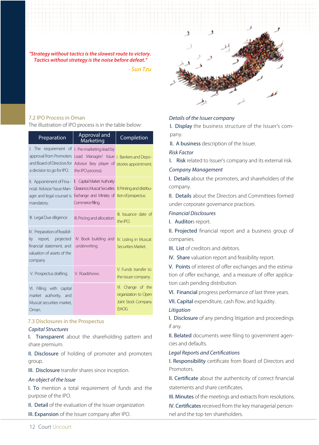

- *Sun Tzu*



## 7.2 IPO Process in Oman

The illustration of IPO process is in the table below:

| Preparation                                                                                                                                                                                                                         | Approval and<br>Marketing                                                                                                                                | Completion                                                                       |
|-------------------------------------------------------------------------------------------------------------------------------------------------------------------------------------------------------------------------------------|----------------------------------------------------------------------------------------------------------------------------------------------------------|----------------------------------------------------------------------------------|
| $l.$ The<br>approval from Promoters<br>and Board of Directors for<br>a decision to go for IPO.                                                                                                                                      | requirement of I. Pre-marketing lead by<br>Lead Manager/ Issue I. Bankers and Depo-<br>Advisor (key player of sitories appointment.<br>the IPO process). |                                                                                  |
| II. Appointment of Fina - II. Capital Market Authority<br>ncial Advisor/ Issue Man- Clearance, Muscat Securities II. Printing and distribu-<br>ager and legal counsel is Exchange and Ministry of tion of prospectus.<br>mandatory. | Commerce filling.                                                                                                                                        |                                                                                  |
| III. Legal Due diligence                                                                                                                                                                                                            | III. Pricing and allocation.                                                                                                                             | III. Issuance date of<br>the IPO.                                                |
| IV. Preparation of feasibil-<br>report, projected<br>ity<br>financial statement, and<br>valuation of assets of the<br>company                                                                                                       | IV. Book building and IV. Listing in Muscat<br>underwriting.                                                                                             | Securities Market.                                                               |
| V. Prospectus drafting.                                                                                                                                                                                                             | V. Roadshows.                                                                                                                                            | V. Funds transfer to<br>the issuer company.                                      |
| VI. Filling with capital<br>market authority, and<br>Muscat securities market.<br>Oman.                                                                                                                                             |                                                                                                                                                          | VI. Change of the<br>organization to Open<br>Joint Stock Company<br><b>(SAOG</b> |

## 7.3 Disclosures in the Prospectus

#### *Capital Structures*

I. Transparent about the shareholding pattern and share premium.

II. Disclosure of holding of promoter and promoters group.

III. Disclosure transfer shares since inception.

#### *An object of the Issue*

I. To mention a total requirement of funds and the purpose of the IPO.

II. Detail of the evaluation of the Issuer organization

III. Expansion of the Issuer company after IPO.

## *Details of the Issuer company*

I. Display the business structure of the Issuer's company.

II. A business description of the Issuer.

#### *Risk Factor*

I. Risk related to Issuer's company and its external risk.

#### *Company Management*

I. Details about the promoters, and shareholders of the company.

II. Details about the Directors and Committees formed under corporate governance practices.

#### *Financial Disclosures*

I. Auditors report.

II. Projected financial report and a business group of companies.

- III. List of creditors and debtors.
- IV. Share valuation report and feasibility report.

V. Points of interest of offer exchanges and the estimation of offer exchange, and a measure of offer application cash pending distribution.

VI. Financial progress performance of last three years.

VII. Capital expenditure, cash flow, and liquidity.

#### *Litigation*

I. Disclosure of any pending litigation and proceedings if any.

II. Belated documents were filing to government agencies and defaults.

#### **Legal Reports and Certifications**

I. Responsibility certificate from Board of Directors and Promotors.

II. Certificate about the authenticity of correct financial statements and share certificates.

III. Minutes of the meetings and extracts from resolutions.

IV. Certificates received from the key managerial personnel and the top ten shareholders.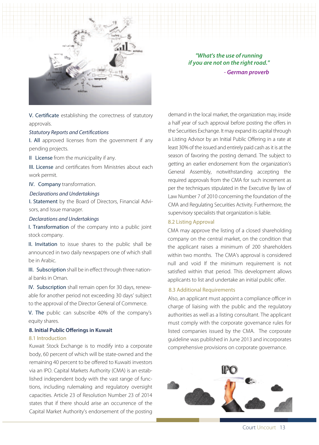

 *"What's the use of running if you are not on the right road."* - *German proverb*

V. Certificate establishing the correctness of statutory approvals.

#### **Statutory Reports and Certifications**

I. All approved licenses from the government if any pending projects.

II License from the municipality if any.

III. License and certificates from Ministries about each work permit.

#### IV. Company transformation.

#### *Declarations and Undertakings*

I. Statement by the Board of Directors, Financial Advisors, and Issue manager.

#### *Declarations and Undertakings*

I. Transformation of the company into a public joint stock company.

II. Invitation to issue shares to the public shall be announced in two daily newspapers one of which shall be in Arabic.

III. Subscription shall be in effect through three national banks in Oman.

IV. Subscription shall remain open for 30 days, renewable for another period not exceeding 30 days' subject to the approval of the Director General of Commerce.

V. The public can subscribe 40% of the company's equity shares.

#### **8. Initial Public Offerings in Kuwait**

## 8.1 Introduction

body, 60 percent of which will be state-owned and the remaining 40 percent to be offered to Kuwaiti investors via an IPO. Capital Markets Authority (CMA) is an established independent body with the vast range of functions, including rulemaking and regulatory oversight capacities. Article 23 of Resolution Number 23 of 2014 states that if there should arise an occurrence of the Capital Market Authority's endorsement of the posting

demand in the local market, the organization may, inside a half year of such approval before posting the offers in the Securities Exchange. It may expand its capital through a Listing Advisor by an Initial Public Offering in a rate at least 30% of the issued and entirely paid cash as it is at the season of favoring the posting demand. The subject to getting an earlier endorsement from the organization's General Assembly, notwithstanding accepting the required approvals from the CMA for such increment as per the techniques stipulated in the Executive By law of Law Number 7 of 2010 concerning the foundation of the CMA and Regulating Securities Activity. Furthermore, the supervisory specialists that organization is liable.

#### 8.2 Listing Approval

CMA may approve the listing of a closed shareholding company on the central market, on the condition that the applicant raises a minimum of 200 shareholders within two months. The CMA's approval is considered null and void If the minimum requirement is not satisfied within that period. This development allows applicants to list and undertake an initial public offer.

#### 8.3 Additional Requirements

Also, an applicant must appoint a compliance officer in charge of liaising with the public and the regulatory authorities as well as a listing consultant. The applicant must comply with the corporate governance rules for listed companies issued by the CMA. The corporate guideline was published in June 2013 and incorporates Kuwait Stock Exchange is to modify into a corporate comprehensive provisions on corporate governance.

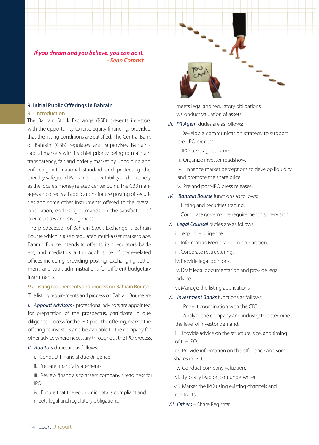*If you dream and you believe, you can do it. - Sean Combst*

## **9. Initial Public Offerings in Bahrain**

#### 9.1 Introduction

The Bahrain Stock Exchange (BSE) presents investors with the opportunity to raise equity financing, provided that the listing conditions are satisfied. The Central Bank of Bahrain (CBB) regulates and supervises Bahrain's capital markets with its chief priority being to maintain transparency, fair and orderly market by upholding and enforcing international standard and protecting the thereby safeguard Bahrain's respectability and notoriety as the locale's money related center point. The CBB manages and directs all applications for the posting of securities and some other instruments offered to the overall population, endorsing demands on the satisfaction of prerequisites and divulgences.

The predecessor of Bahrain Stock Exchange is Bahrain Bourse which is a self-regulated multi-asset marketplace. Bahrain Bourse intends to offer to its speculators, backers, and mediators a thorough suite of trade-related offices including providing posting, exchanging settlement, and vault administrations for different budgetary instruments.

## 9.2 Listing requirements and process on Bahrain Bourse

The listing requirements and process on Bahrain Bourse are:

*I. Appoint Advisors -* professional advisors are appointed for preparation of the prospectus, participate in due diligence process for the IPO, price the offering, market the offering to investors and be available to the company for other advice where necessary throughout the IPO process.

## *II. Auditors* dutiesare as follows:

- i. Conduct Financial due diligence.
- ii. Prepare financial statements.

 iii. Review financials to assess company's readiness for IPO.

 iv. Ensure that the economic data is compliant and meets legal and regulatory obligations.

 meets legal and regulatory obligations. v. Conduct valuation of assets.

## *III. PR Agent* duties are as follows:

 i. Develop a communication strategy to support pre- IPO process.

- ii. IPO coverage supervision.
- iii. Organize investor roadshow.

 iv. Enhance market perceptions to develop liquidity and promote the share price.

- v. Pre and post-IPO press releases.
- *IV. Bahrain Bourse* functions as follows:
	- i. Listing and securities trading.
	- ii. Corporate governance requirement's supervision.
- *V. Legal Counsel* duties are as follows:
	- i. Legal due diligence.
	- ii. Information Memorandum preparation.
	- iii. Corporate restructuring.
	- iv. Provide legal opinions.

 v. Draft legal documentation and provide legal advice.

vi. Manage the listing applications.

*VI. Investment Banks* functions as follows:

i. Project coordination with the CBB.

 ii. Analyze the company and industry to determine the level of investor demand.

 iii. Provide advice on the structure, size, and timing of the IPO.

 iv. Provide information on the offer price and some shares in IPO.

- v. Conduct company valuation.
- vi. Typically lead or joint underwriter.
- vii. Market the IPO using existing channels and contracts.
- *VII. Others* Share Registrar.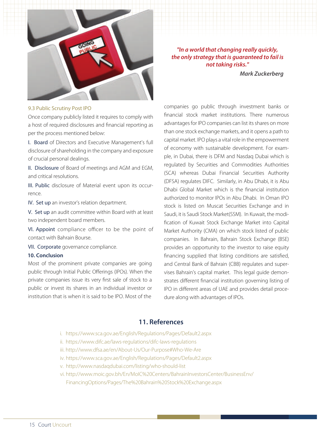

*"In a world that changing really quickly, the only strategy that is guaranteed to fail is not taking risks."* 

 *Mark Zuckerberg*

#### 9.3 Public Scrutiny Post IPO

Once company publicly listed it requires to comply with a host of required disclosures and financial reporting as per the process mentioned below:

I. Board of Directors and Executive Management's full disclosure of shareholding in the company and exposure of crucial personal dealings.

II. Disclosure of Board of meetings and AGM and EGM, and critical resolutions.

III. Public disclosure of Material event upon its occurrence.

IV. Set up an investor's relation department.

V. Set up an audit committee within Board with at least two independent board members.

VI. Appoint compliance officer to be the point of contact with Bahrain Bourse.

VII. Corporate governance compliance.

#### **10. Conclusion**

Most of the prominent private companies are going public through Initial Public Offerings (IPOs). When the private companies issue its very first sale of stock to a public or invest its shares in an individual investor or institution that is when it is said to be IPO. Most of the

companies go public through investment banks or financial stock market institutions. There numerous advantages for IPO companies can list its shares on more than one stock exchange markets, and it opens a path to capital market. IPO plays a vital role in the empowerment of economy with sustainable development. For example, in Dubai, there is DFM and Nasdaq Dubai which is regulated by Securities and Commodities Authorities (SCA) whereas Dubai Financial Securities Authority (DFSA) regulates DIFC. Similarly, in Abu Dhabi, it is Abu Dhabi Global Market which is the financial institution authorized to monitor IPOs in Abu Dhabi. In Oman IPO stock is listed on Muscat Securities Exchange and in Saudi, it is Saudi Stock Market(SSM). In Kuwait, the modification of Kuwait Stock Exchange Market into Capital Market Authority (CMA) on which stock listed of public companies. In Bahrain, Bahrain Stock Exchange (BSE) provides an opportunity to the investor to raise equity financing supplied that listing conditions are satisfied, and Central Bank of Bahrain (CBB) regulates and supervises Bahrain's capital market. This legal guide demonstrates different financial institution governing listing of IPO in different areas of UAE and provides detail procedure along with advantages of IPOs.

## **11. References**

- i. https://www.sca.gov.ae/English/Regulations/Pages/Default2.aspx
- ii. https://www.difc.ae/laws-regulations/difc-laws-regulations
- iii. http://www.dfsa.ae/en/About-Us/Our-Purpose#Who-We-Are
- iv. https://www.sca.gov.ae/English/Regulations/Pages/Default2.aspx
- v. http://www.nasdaqdubai.com/listing/who-should-list
- vi. http://www.moic.gov.bh/En/MoIC%20Centers/BahrainInvestorsCenter/BusinessEnv/ FinancingOptions/Pages/The%20Bahrain%20Stock%20Exchange.aspx